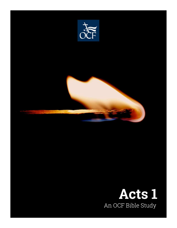

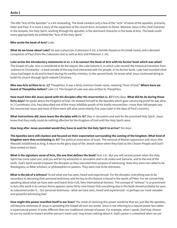The title "Acts of the Apostles" is a bit misleading. The book contains only a few of the "acts" of some of the apostles, primarily Peter and Paul. It is more a story of the expansion of the church from Jerusalem to Rome. Whereas Jesus is the chief character in the Gospels, the Holy Spirit, working through the apostles, is the dominant character in the book of Acts. The book could more appropriately be entitled the "Acts of the Holy Spirit."

**Who wrote the book of Acts?** Luke.

**What do we know about Luke?** He was a physician (Colossians 4:14), a Gentile (based on his Greek name) and a devoted companion of Paul (from the Colossians text as well as Acts and Philemon 1: 24).

**Luke wrote the introductory statements in vv. 1-5 to connect the Book of Acts with his former book which was what?** The Gospel of Luke. Acts is considered to be the sequel, like Luke Volume II, in which Luke records the historical transition from Judaism to Christianity—a total remake of the way God interacted with His people. In his former book, Luke had recorded what Jesus had begun to do and to teach during His earthly ministry. In this second book, he wrote what Jesus continued doing to build His church through Spirit-indwelt Christians.

**Who was Acts written to (v. 1)?** Theophilus. It was a fairly common Greek name, meaning "lover of God." **Where have we heard of Theophilus before?** Luke 1:3. The Gospel of Luke was also written to Theophilus.

**How much time did Jesus spend with His disciples after His resurrection (v. 3)?** Forty days. **What did He do during those forty days?** He spoke about the Kingdom of God. He showed himself to the Apostles which gave convincing proof He was alive. In 1 Corinthians 15:6, Paul described one of the many infallible proofs of His bodily resurrection—more than 500 people saw the resurrected Jesus and most of them were still alive some twenty-five years later in the days of Paul's ministry.

**What instructions did Jesus leave the disciples with (v. 4)?** Stay in Jerusalem and wait for the promised Holy Spirit. Jesus knew that they really could do nothing effective for the Kingdom of God until the Holy Spirit came.

## **How long after Jesus ascended would they have to wait for the Holy Spirit to arrive?** Ten days

**The Apostles were still clueless and focused on their expectation surrounding the coming of the kingdom. What kind of kingdom were they envisioning (v. 6)?** The political restoration of Israel. The removal of Roman oppression and Jesus (the Messiah) established as king. A return to the glory days of the Jewish nation when they lived as the Chosen People and God's favor rested on them.

**What is the signature verse of Acts, the one that defines the book?** Acts 1:8—But you will receive power when the Holy Spirit has come upon you, and you will be my witnesses in Jerusalem and in all Judea and Samaria, and to the end of the earth. God's Spirit would empower the disciples as they executed their purpose of witnessing. Note they were not called to be theologians, or Bible scholars, or philosophers or pastors. They were now to be witnesses.

**What is the job of a witness?** To tell what one has seen, heard and experienced. For the disciples, everything was to be secondary to declaring their personal testimony and the key to this feature is found in the words of Peter: For we cannot help speaking about what we have seen and heard (Acts 4:20, New International Version). The concept of "witness" is so prominent in Acts (the word in its various forms appears some thirty-nine times) that everything else in the book should probably be seen as subsumed under it... Our personal testimony—what we have seen, heard and experienced—is perhaps our most valuable and powerful witnessing tool.

**How might this power manifest itself in our lives?** The result of receiving this power would be that we, just like the apostles, will become witnesses of Jesus in spreading the Gospel all over our world. Jesus is not referring to a natural power but rather a supernatural power. It looks different than our traditional concept of power. For example, when I speak, God may choose to use my words to impact another person's heart and I may know nothing about it. God's power is unleashed when we are